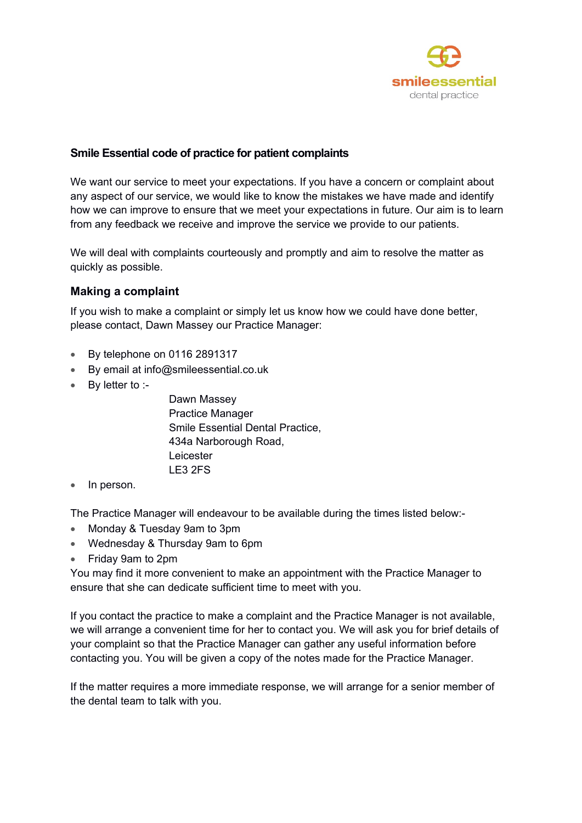

## **Smile Essential code of practice for patient complaints**

We want our service to meet your expectations. If you have a concern or complaint about any aspect of our service, we would like to know the mistakes we have made and identify how we can improve to ensure that we meet your expectations in future. Our aim is to learn from any feedback we receive and improve the service we provide to our patients.

We will deal with complaints courteously and promptly and aim to resolve the matter as quickly as possible.

# **Making a complaint**

If you wish to make a complaint or simply let us know how we could have done better, please contact, Dawn Massey our Practice Manager:

- By telephone on 0116 2891317
- By email at info@smileessential.co.uk
- By letter to :-

 Dawn Massey Practice Manager Smile Essential Dental Practice, 434a Narborough Road, **Leicester** LE3 2FS

In person.

The Practice Manager will endeavour to be available during the times listed below:-

- Monday & Tuesday 9am to 3pm
- Wednesday & Thursday 9am to 6pm
- Friday 9am to 2pm

You may find it more convenient to make an appointment with the Practice Manager to ensure that she can dedicate sufficient time to meet with you.

If you contact the practice to make a complaint and the Practice Manager is not available, we will arrange a convenient time for her to contact you. We will ask you for brief details of your complaint so that the Practice Manager can gather any useful information before contacting you. You will be given a copy of the notes made for the Practice Manager.

If the matter requires a more immediate response, we will arrange for a senior member of the dental team to talk with you.